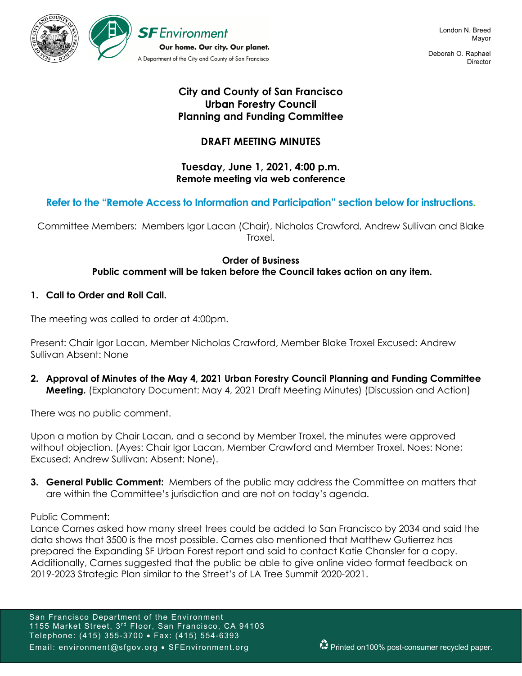

Deborah O. Raphael **Director** 

# **City and County of San Francisco Urban Forestry Council Planning and Funding Committee**

# **DRAFT MEETING MINUTES**

### **Tuesday, June 1, 2021, 4:00 p.m. Remote meeting via web conference**

## **Refer to the "Remote Access to Information and Participation" section below for instructions.**

Committee Members: Members Igor Lacan (Chair), Nicholas Crawford, Andrew Sullivan and Blake Troxel.

### **Order of Business Public comment will be taken before the Council takes action on any item.**

### **1. Call to Order and Roll Call.**

The meeting was called to order at 4:00pm.

Present: Chair Igor Lacan, Member Nicholas Crawford, Member Blake Troxel Excused: Andrew Sullivan Absent: None

**2. Approval of Minutes of the May 4, 2021 Urban Forestry Council Planning and Funding Committee Meeting.** (Explanatory Document: May 4, 2021 Draft Meeting Minutes) (Discussion and Action)

There was no public comment.

Upon a motion by Chair Lacan, and a second by Member Troxel, the minutes were approved without objection. (Ayes: Chair Igor Lacan, Member Crawford and Member Troxel. Noes: None; Excused: Andrew Sullivan; Absent: None).

**3. General Public Comment:** Members of the public may address the Committee on matters that are within the Committee's jurisdiction and are not on today's agenda.

#### Public Comment:

Lance Carnes asked how many street trees could be added to San Francisco by 2034 and said the data shows that 3500 is the most possible. Carnes also mentioned that Matthew Gutierrez has prepared the Expanding SF Urban Forest report and said to contact Katie Chansler for a copy. Additionally, Carnes suggested that the public be able to give online video format feedback on 2019-2023 Strategic Plan similar to the Street's of LA Tree Summit 2020-2021.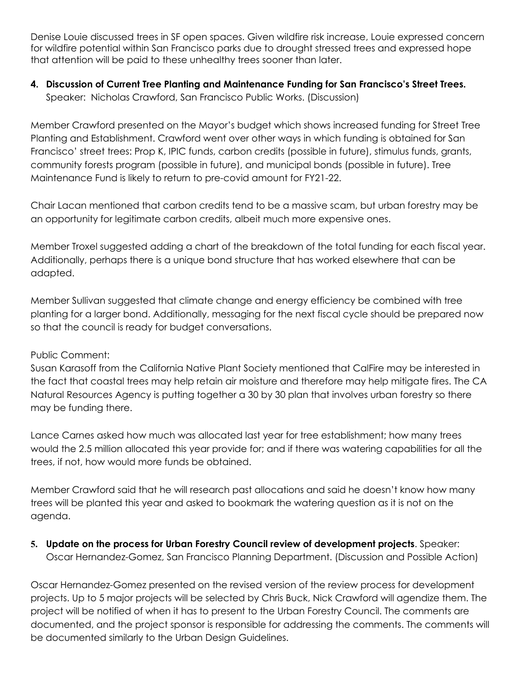Denise Louie discussed trees in SF open spaces. Given wildfire risk increase, Louie expressed concern for wildfire potential within San Francisco parks due to drought stressed trees and expressed hope that attention will be paid to these unhealthy trees sooner than later.

## **4. Discussion of Current Tree Planting and Maintenance Funding for San Francisco's Street Trees.** Speaker: Nicholas Crawford, San Francisco Public Works. (Discussion)

Member Crawford presented on the Mayor's budget which shows increased funding for Street Tree Planting and Establishment. Crawford went over other ways in which funding is obtained for San Francisco' street trees: Prop K, IPIC funds, carbon credits (possible in future), stimulus funds, grants, community forests program (possible in future), and municipal bonds (possible in future). Tree Maintenance Fund is likely to return to pre-covid amount for FY21-22.

Chair Lacan mentioned that carbon credits tend to be a massive scam, but urban forestry may be an opportunity for legitimate carbon credits, albeit much more expensive ones.

Member Troxel suggested adding a chart of the breakdown of the total funding for each fiscal year. Additionally, perhaps there is a unique bond structure that has worked elsewhere that can be adapted.

Member Sullivan suggested that climate change and energy efficiency be combined with tree planting for a larger bond. Additionally, messaging for the next fiscal cycle should be prepared now so that the council is ready for budget conversations.

### Public Comment:

Susan Karasoff from the California Native Plant Society mentioned that CalFire may be interested in the fact that coastal trees may help retain air moisture and therefore may help mitigate fires. The CA Natural Resources Agency is putting together a 30 by 30 plan that involves urban forestry so there may be funding there.

Lance Carnes asked how much was allocated last year for tree establishment; how many trees would the 2.5 million allocated this year provide for; and if there was watering capabilities for all the trees, if not, how would more funds be obtained.

Member Crawford said that he will research past allocations and said he doesn't know how many trees will be planted this year and asked to bookmark the watering question as it is not on the agenda.

## **5. Update on the process for Urban Forestry Council review of development projects**. Speaker: Oscar Hernandez-Gomez, San Francisco Planning Department. (Discussion and Possible Action)

Oscar Hernandez-Gomez presented on the revised version of the review process for development projects. Up to 5 major projects will be selected by Chris Buck, Nick Crawford will agendize them. The project will be notified of when it has to present to the Urban Forestry Council. The comments are documented, and the project sponsor is responsible for addressing the comments. The comments will be documented similarly to the Urban Design Guidelines.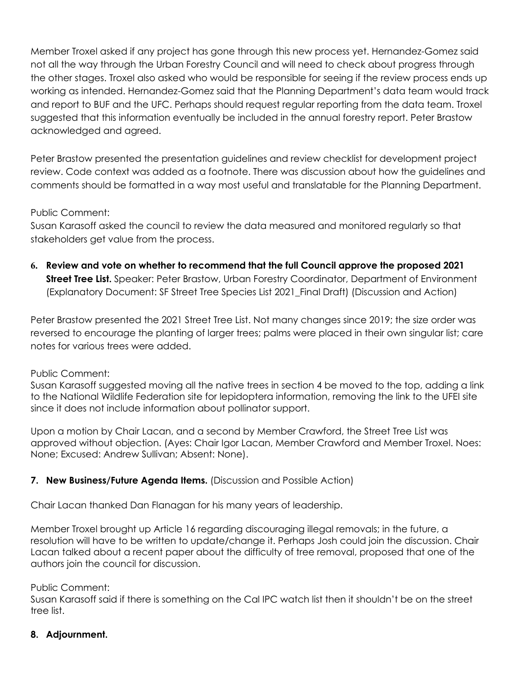Member Troxel asked if any project has gone through this new process yet. Hernandez-Gomez said not all the way through the Urban Forestry Council and will need to check about progress through the other stages. Troxel also asked who would be responsible for seeing if the review process ends up working as intended. Hernandez-Gomez said that the Planning Department's data team would track and report to BUF and the UFC. Perhaps should request regular reporting from the data team. Troxel suggested that this information eventually be included in the annual forestry report. Peter Brastow acknowledged and agreed.

Peter Brastow presented the presentation guidelines and review checklist for development project review. Code context was added as a footnote. There was discussion about how the guidelines and comments should be formatted in a way most useful and translatable for the Planning Department.

### Public Comment:

Susan Karasoff asked the council to review the data measured and monitored regularly so that stakeholders get value from the process.

**6. Review and vote on whether to recommend that the full Council approve the proposed 2021 Street Tree List.** Speaker: Peter Brastow, Urban Forestry Coordinator, Department of Environment (Explanatory Document: SF Street Tree Species List 2021\_Final Draft) (Discussion and Action)

Peter Brastow presented the 2021 Street Tree List. Not many changes since 2019; the size order was reversed to encourage the planting of larger trees; palms were placed in their own singular list; care notes for various trees were added.

### Public Comment:

Susan Karasoff suggested moving all the native trees in section 4 be moved to the top, adding a link to the National Wildlife Federation site for lepidoptera information, removing the link to the UFEI site since it does not include information about pollinator support.

Upon a motion by Chair Lacan, and a second by Member Crawford, the Street Tree List was approved without objection. (Ayes: Chair Igor Lacan, Member Crawford and Member Troxel. Noes: None; Excused: Andrew Sullivan; Absent: None).

## **7. New Business/Future Agenda Items.** (Discussion and Possible Action)

Chair Lacan thanked Dan Flanagan for his many years of leadership.

Member Troxel brought up Article 16 regarding discouraging illegal removals; in the future, a resolution will have to be written to update/change it. Perhaps Josh could join the discussion. Chair Lacan talked about a recent paper about the difficulty of tree removal, proposed that one of the authors join the council for discussion.

### Public Comment:

Susan Karasoff said if there is something on the Cal IPC watch list then it shouldn't be on the street tree list.

## **8. Adjournment.**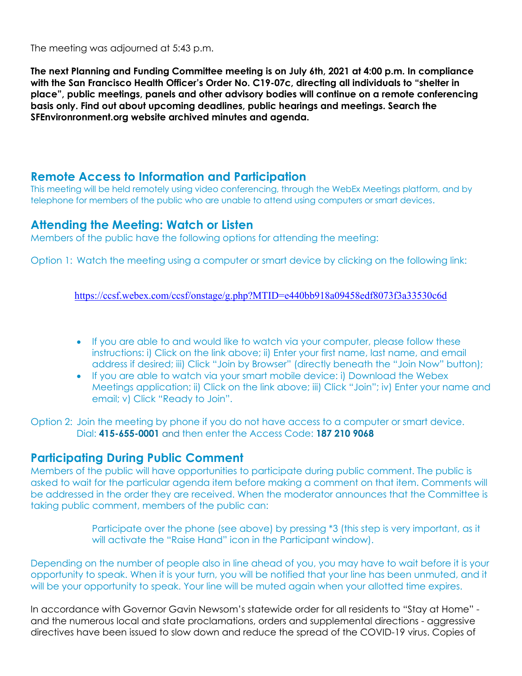The meeting was adjourned at 5:43 p.m.

**The next Planning and Funding Committee meeting is on July 6th, 2021 at 4:00 p.m. In compliance with the San Francisco Health Officer's Order No. C19-07c, directing all individuals to "shelter in place", public meetings, panels and other advisory bodies will continue on a remote conferencing basis only. Find out about upcoming deadlines, public hearings and meetings. Search the SFEnvironronment.org website archived minutes and agenda.**

## **Remote Access to Information and Participation**

This meeting will be held remotely using video conferencing, through the WebEx Meetings platform, and by telephone for members of the public who are unable to attend using computers or smart devices.

### **Attending the Meeting: Watch or Listen**

Members of the public have the following options for attending the meeting:

Option 1: Watch the meeting using a computer or smart device by clicking on the following link:

#### https://ccsf.webex.com/ccsf/onstage/g.php?MTID=e440bb918a09458edf8073f3a33530c6d

- If you are able to and would like to watch via your computer, please follow these instructions: i) Click on the link above; ii) Enter your first name, last name, and email address if desired; iii) Click "Join by Browser" (directly beneath the "Join Now" button);
- If you are able to watch via your smart mobile device: i) Download the Webex Meetings application; ii) Click on the link above; iii) Click "Join"; iv) Enter your name and email; v) Click "Ready to Join".

Option 2: Join the meeting by phone if you do not have access to a computer or smart device. Dial: **415-655-0001** and then enter the Access Code: **187 210 9068**

## **Participating During Public Comment**

Members of the public will have opportunities to participate during public comment. The public is asked to wait for the particular agenda item before making a comment on that item. Comments will be addressed in the order they are received. When the moderator announces that the Committee is taking public comment, members of the public can:

> Participate over the phone (see above) by pressing \*3 (this step is very important, as it will activate the "Raise Hand" icon in the Participant window).

Depending on the number of people also in line ahead of you, you may have to wait before it is your opportunity to speak. When it is your turn, you will be notified that your line has been unmuted, and it will be your opportunity to speak. Your line will be muted again when your allotted time expires.

In accordance with Governor Gavin Newsom's statewide order for all residents to "Stay at Home" and the numerous local and state proclamations, orders and supplemental directions - aggressive directives have been issued to slow down and reduce the spread of the COVID-19 virus. Copies of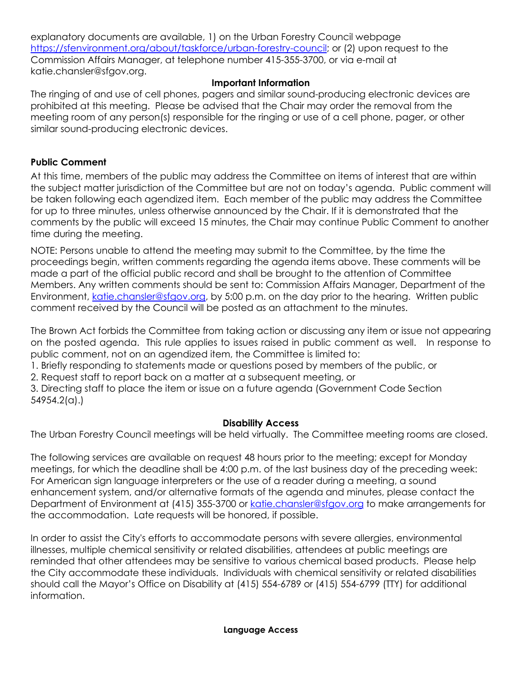explanatory documents are available, 1) on the Urban Forestry Council webpage https://sfenvironment.org/about/taskforce/urban-forestry-council; or (2) upon request to the Commission Affairs Manager, at telephone number 415-355-3700, or via e-mail at katie.chansler@sfgov.org.

### **Important Information**

The ringing of and use of cell phones, pagers and similar sound-producing electronic devices are prohibited at this meeting. Please be advised that the Chair may order the removal from the meeting room of any person(s) responsible for the ringing or use of a cell phone, pager, or other similar sound-producing electronic devices.

### **Public Comment**

At this time, members of the public may address the Committee on items of interest that are within the subject matter jurisdiction of the Committee but are not on today's agenda. Public comment will be taken following each agendized item. Each member of the public may address the Committee for up to three minutes, unless otherwise announced by the Chair. If it is demonstrated that the comments by the public will exceed 15 minutes, the Chair may continue Public Comment to another time during the meeting.

NOTE: Persons unable to attend the meeting may submit to the Committee, by the time the proceedings begin, written comments regarding the agenda items above. These comments will be made a part of the official public record and shall be brought to the attention of Committee Members. Any written comments should be sent to: Commission Affairs Manager, Department of the Environment, katie.chansler@sfgov.org, by 5:00 p.m. on the day prior to the hearing. Written public comment received by the Council will be posted as an attachment to the minutes.

The Brown Act forbids the Committee from taking action or discussing any item or issue not appearing on the posted agenda. This rule applies to issues raised in public comment as well. In response to public comment, not on an agendized item, the Committee is limited to:

1. Briefly responding to statements made or questions posed by members of the public, or

2. Request staff to report back on a matter at a subsequent meeting, or

3. Directing staff to place the item or issue on a future agenda (Government Code Section 54954.2(a).)

### **Disability Access**

The Urban Forestry Council meetings will be held virtually. The Committee meeting rooms are closed.

The following services are available on request 48 hours prior to the meeting; except for Monday meetings, for which the deadline shall be 4:00 p.m. of the last business day of the preceding week: For American sign language interpreters or the use of a reader during a meeting, a sound enhancement system, and/or alternative formats of the agenda and minutes, please contact the Department of Environment at (415) 355-3700 or katie.chansler@sfgov.org to make arrangements for the accommodation. Late requests will be honored, if possible.

In order to assist the City's efforts to accommodate persons with severe allergies, environmental illnesses, multiple chemical sensitivity or related disabilities, attendees at public meetings are reminded that other attendees may be sensitive to various chemical based products. Please help the City accommodate these individuals. Individuals with chemical sensitivity or related disabilities should call the Mayor's Office on Disability at (415) 554-6789 or (415) 554-6799 (TTY) for additional information.